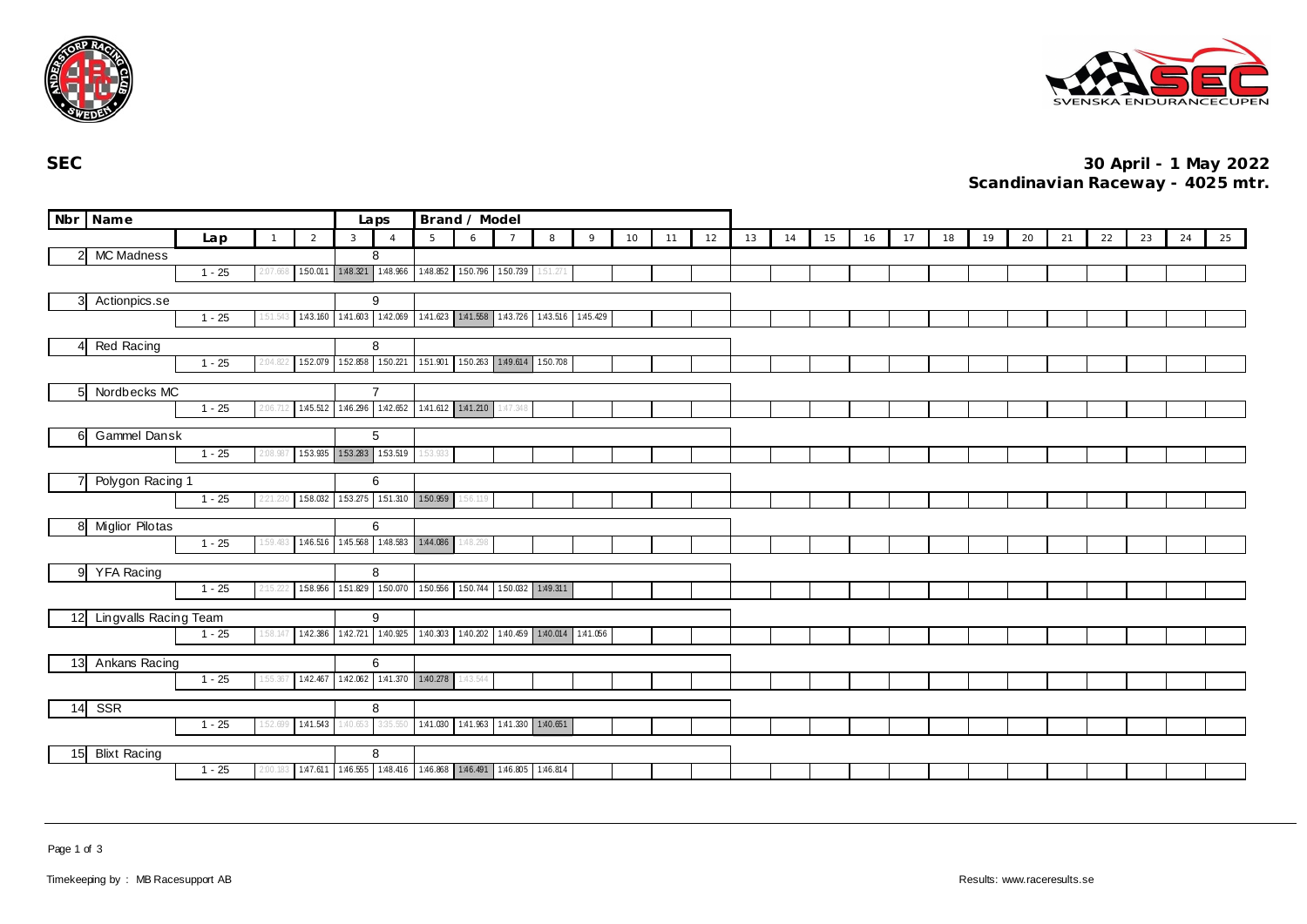



**SEC 30 April - 1 May 2022 Scandinavian Raceway - 4025 mtr.**

|                | Nbr Name              |          |                |                |              | Laps                                    | Brand / Model |                                                                 |                |          |   |    |    |    |    |    |    |    |    |    |    |    |    |    |    |    |    |
|----------------|-----------------------|----------|----------------|----------------|--------------|-----------------------------------------|---------------|-----------------------------------------------------------------|----------------|----------|---|----|----|----|----|----|----|----|----|----|----|----|----|----|----|----|----|
|                |                       | Lap      | $\overline{1}$ | $\overline{2}$ | $\mathbf{3}$ | $\Delta$                                | 5             | 6                                                               | $\overline{7}$ | 8        | 9 | 10 | 11 | 12 | 13 | 14 | 15 | 16 | 17 | 18 | 19 | 20 | 21 | 22 | 23 | 24 | 25 |
| $\overline{2}$ | <b>MC Madness</b>     |          |                |                | 8            |                                         |               |                                                                 |                |          |   |    |    |    |    |    |    |    |    |    |    |    |    |    |    |    |    |
|                |                       | $1 - 25$ | 2:07.66        | 150.011        |              | 1:48.321 1:48.966                       |               | 1.48.852 1.50.796 1.50.739                                      |                | 1:51.271 |   |    |    |    |    |    |    |    |    |    |    |    |    |    |    |    |    |
|                |                       |          |                |                |              | 9                                       |               |                                                                 |                |          |   |    |    |    |    |    |    |    |    |    |    |    |    |    |    |    |    |
| 3              | Actionpics.se         | $1 - 25$ | 51.54          |                |              |                                         |               | 143.160 141.603 142.069 141.623 141.558 143.726 143.516 145.429 |                |          |   |    |    |    |    |    |    |    |    |    |    |    |    |    |    |    |    |
|                |                       |          |                |                |              |                                         |               |                                                                 |                |          |   |    |    |    |    |    |    |    |    |    |    |    |    |    |    |    |    |
| Red Racing     |                       |          |                |                | 8            |                                         |               |                                                                 |                |          |   |    |    |    |    |    |    |    |    |    |    |    |    |    |    |    |    |
|                |                       | $1 - 25$ | 2:04.82        |                |              |                                         |               | 152.079 152.858 150.221 151.901 150.263 149.614 150.708         |                |          |   |    |    |    |    |    |    |    |    |    |    |    |    |    |    |    |    |
| 5              | Nordbecks MC          |          |                |                |              | $\overline{7}$                          |               |                                                                 |                |          |   |    |    |    |    |    |    |    |    |    |    |    |    |    |    |    |    |
|                |                       | $1 - 25$ | 2:06.          |                |              |                                         |               | 145.512 146.296 142.652 141.612 141.210 147.348                 |                |          |   |    |    |    |    |    |    |    |    |    |    |    |    |    |    |    |    |
|                |                       |          |                |                |              |                                         |               |                                                                 |                |          |   |    |    |    |    |    |    |    |    |    |    |    |    |    |    |    |    |
| 6              | Gammel Dansk          |          |                |                |              | 5                                       |               |                                                                 |                |          |   |    |    |    |    |    |    |    |    |    |    |    |    |    |    |    |    |
|                |                       | $1 - 25$ | 2:08.987       |                |              | 153.935 153.283 153.519                 | 1:53.933      |                                                                 |                |          |   |    |    |    |    |    |    |    |    |    |    |    |    |    |    |    |    |
|                | Polygon Racing 1      |          |                | 6              |              |                                         |               |                                                                 |                |          |   |    |    |    |    |    |    |    |    |    |    |    |    |    |    |    |    |
|                |                       | $1 - 25$ | 2:21.          |                |              | 1.58.032 1.53.275 1.51.310 1.50.959     |               | 1:56.119                                                        |                |          |   |    |    |    |    |    |    |    |    |    |    |    |    |    |    |    |    |
|                |                       |          |                |                |              |                                         |               |                                                                 |                |          |   |    |    |    |    |    |    |    |    |    |    |    |    |    |    |    |    |
| 8              | Miglior Pilotas       |          |                |                |              | 6                                       |               |                                                                 |                |          |   |    |    |    |    |    |    |    |    |    |    |    |    |    |    |    |    |
|                |                       | $1 - 25$ | 1:59.483       |                |              | 146.516 145.568 148.583 144.086 148.298 |               |                                                                 |                |          |   |    |    |    |    |    |    |    |    |    |    |    |    |    |    |    |    |
| 9              | YFA Racing            |          |                |                |              | 8                                       |               |                                                                 |                |          |   |    |    |    |    |    |    |    |    |    |    |    |    |    |    |    |    |
|                |                       | $1 - 25$ | 2:15.222       |                |              |                                         |               | 158.956 151.829 150.070 150.556 150.744 150.032 149.311         |                |          |   |    |    |    |    |    |    |    |    |    |    |    |    |    |    |    |    |
|                |                       |          |                |                |              |                                         |               |                                                                 |                |          |   |    |    |    |    |    |    |    |    |    |    |    |    |    |    |    |    |
| 12             | Lingvalls Racing Team |          |                |                |              | 9                                       |               |                                                                 |                |          |   |    |    |    |    |    |    |    |    |    |    |    |    |    |    |    |    |
|                |                       | $1 - 25$ | 1:58.147       |                |              |                                         |               | 142.386 142.721 140.925 140.303 140.202 140.459 140.014 141.056 |                |          |   |    |    |    |    |    |    |    |    |    |    |    |    |    |    |    |    |
| 13             | Ankans Racing         |          |                |                |              | 6                                       |               |                                                                 |                |          |   |    |    |    |    |    |    |    |    |    |    |    |    |    |    |    |    |
|                |                       | $1 - 25$ | 1:55.367       |                |              | 1.42.467  1.42.062  1.41.370  1.40.278  |               | 1:43.544                                                        |                |          |   |    |    |    |    |    |    |    |    |    |    |    |    |    |    |    |    |
|                |                       |          |                |                |              |                                         |               |                                                                 |                |          |   |    |    |    |    |    |    |    |    |    |    |    |    |    |    |    |    |
| 14             | SSR                   |          |                |                |              | 8                                       |               |                                                                 |                |          |   |    |    |    |    |    |    |    |    |    |    |    |    |    |    |    |    |
|                |                       | $1 - 25$ | 1:52.699       | 1:41.543       | 1:40.653     | 3:35.550                                |               | 1.41.030 1.41.963 1.41.330 1.40.651                             |                |          |   |    |    |    |    |    |    |    |    |    |    |    |    |    |    |    |    |
| 15             | <b>Blixt Racing</b>   |          |                |                |              | 8                                       |               |                                                                 |                |          |   |    |    |    |    |    |    |    |    |    |    |    |    |    |    |    |    |
|                |                       | $1 - 25$ | 2:00.183       |                |              |                                         |               | 147.611 146.555 148.416 146.868 146.491 146.805 146.814         |                |          |   |    |    |    |    |    |    |    |    |    |    |    |    |    |    |    |    |

Page 1 of 3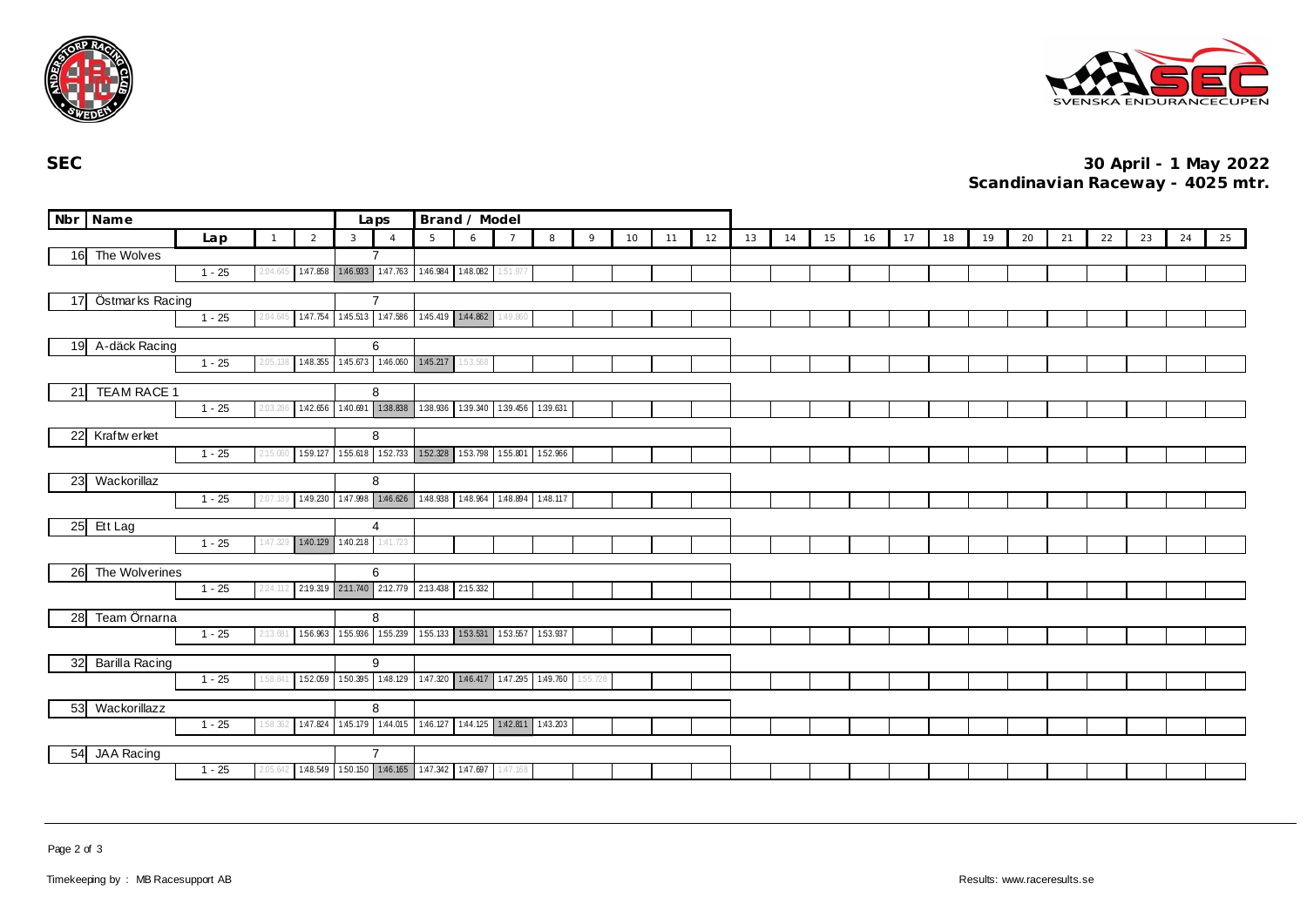



**SEC 30 April - 1 May 2022 Scandinavian Raceway - 4025 mtr.**

|                    | Nbr Name         |          |              |                |                | Laps                                                    | Brand / Model                       |                                     |                |   |          |    |    |    |    |    |    |    |    |    |    |    |    |    |    |    |    |
|--------------------|------------------|----------|--------------|----------------|----------------|---------------------------------------------------------|-------------------------------------|-------------------------------------|----------------|---|----------|----|----|----|----|----|----|----|----|----|----|----|----|----|----|----|----|
|                    |                  | Lap      | $\mathbf{1}$ | $\overline{2}$ | $\overline{3}$ | $\overline{A}$                                          | $5\overline{5}$                     | 6                                   | $\overline{7}$ | 8 | 9        | 10 | 11 | 12 | 13 | 14 | 15 | 16 | 17 | 18 | 19 | 20 | 21 | 22 | 23 | 24 | 25 |
|                    | 16 The Wolves    |          |              |                |                |                                                         |                                     |                                     |                |   |          |    |    |    |    |    |    |    |    |    |    |    |    |    |    |    |    |
|                    |                  | $1 - 25$ | 2:04.645     |                |                | 147.858 146.933 147.763 146.984 148.082 151.977         |                                     |                                     |                |   |          |    |    |    |    |    |    |    |    |    |    |    |    |    |    |    |    |
| 17 Östmarks Racing |                  |          |              |                |                | $\overline{7}$                                          |                                     |                                     |                |   |          |    |    |    |    |    |    |    |    |    |    |    |    |    |    |    |    |
|                    |                  | $1 - 25$ | 2:04.645     |                |                | 147.754 145.513 147.586 145.419 144.862 149.860         |                                     |                                     |                |   |          |    |    |    |    |    |    |    |    |    |    |    |    |    |    |    |    |
|                    |                  |          |              |                |                |                                                         |                                     |                                     |                |   |          |    |    |    |    |    |    |    |    |    |    |    |    |    |    |    |    |
|                    | 19 A-däck Racing |          |              |                |                | 6                                                       |                                     |                                     |                |   |          |    |    |    |    |    |    |    |    |    |    |    |    |    |    |    |    |
|                    |                  | $1 - 25$ | 2:05.138     |                |                | 1.48.355 1.45.673 1.46.060 1.45.217                     |                                     | 1:53.568                            |                |   |          |    |    |    |    |    |    |    |    |    |    |    |    |    |    |    |    |
| 21                 | TEAM RACE 1      |          |              |                |                | 8                                                       |                                     |                                     |                |   |          |    |    |    |    |    |    |    |    |    |    |    |    |    |    |    |    |
|                    |                  | $1 - 25$ | 2:03.:       |                |                | 1.42.656 1.40.691 1.38.838                              |                                     | 138.936 139.340 139.456 139.631     |                |   |          |    |    |    |    |    |    |    |    |    |    |    |    |    |    |    |    |
|                    |                  |          |              |                |                |                                                         |                                     |                                     |                |   |          |    |    |    |    |    |    |    |    |    |    |    |    |    |    |    |    |
|                    | 22 Kraftw erket  |          |              |                |                | 8                                                       |                                     |                                     |                |   |          |    |    |    |    |    |    |    |    |    |    |    |    |    |    |    |    |
|                    |                  | $1 - 25$ | 2:15.060     |                |                | 1.59.127 1.55.618 1.52.733                              | 1.52.328 1.53.798 1.55.801 1.52.966 |                                     |                |   |          |    |    |    |    |    |    |    |    |    |    |    |    |    |    |    |    |
| 23 Wackorillaz     |                  |          |              |                |                | 8                                                       |                                     |                                     |                |   |          |    |    |    |    |    |    |    |    |    |    |    |    |    |    |    |    |
|                    |                  | $1 - 25$ | 2:07.189     |                |                | 149.230 147.998 146.626 148.938 148.964 148.894 148.117 |                                     |                                     |                |   |          |    |    |    |    |    |    |    |    |    |    |    |    |    |    |    |    |
|                    |                  |          |              |                |                | 4                                                       |                                     |                                     |                |   |          |    |    |    |    |    |    |    |    |    |    |    |    |    |    |    |    |
| 25                 | Ett Lag          | $1 - 25$ | 1:47.329     |                |                | 140.129 1.40.218 1.41.723                               |                                     |                                     |                |   |          |    |    |    |    |    |    |    |    |    |    |    |    |    |    |    |    |
|                    |                  |          |              |                |                |                                                         |                                     |                                     |                |   |          |    |    |    |    |    |    |    |    |    |    |    |    |    |    |    |    |
| 26                 | The Wolverines   |          |              |                | 6              |                                                         |                                     |                                     |                |   |          |    |    |    |    |    |    |    |    |    |    |    |    |    |    |    |    |
|                    |                  | $1 - 25$ | 2:24.112     |                |                | 2:19.319 2:11.740 2:12.779 2:13.438 2:15.332            |                                     |                                     |                |   |          |    |    |    |    |    |    |    |    |    |    |    |    |    |    |    |    |
| 28                 | Team Örnarna     |          |              |                |                | 8                                                       |                                     |                                     |                |   |          |    |    |    |    |    |    |    |    |    |    |    |    |    |    |    |    |
|                    |                  | $1 - 25$ | 2:13.681     |                |                | 156.963 155.936 155.239                                 |                                     | 155.133 153.531 153.557 153.937     |                |   |          |    |    |    |    |    |    |    |    |    |    |    |    |    |    |    |    |
|                    |                  |          |              |                |                |                                                         |                                     |                                     |                |   |          |    |    |    |    |    |    |    |    |    |    |    |    |    |    |    |    |
| 32                 | Barilla Racing   |          |              |                |                | 9                                                       |                                     |                                     |                |   |          |    |    |    |    |    |    |    |    |    |    |    |    |    |    |    |    |
|                    |                  | $1 - 25$ | 1:58.841     | 152.059        |                | 150.395 1:48.129                                        |                                     | 1.47.320 1.46.417 1.47.295 1.49.760 |                |   | 1:55.728 |    |    |    |    |    |    |    |    |    |    |    |    |    |    |    |    |
| 53                 | Wackorillazz     |          |              | 8              |                |                                                         |                                     |                                     |                |   |          |    |    |    |    |    |    |    |    |    |    |    |    |    |    |    |    |
|                    |                  | $1 - 25$ | 1:58.362     |                |                | 1.47.824 1.45.179 1.44.015                              |                                     | 1.46.127 1.44.125 1.42.811 1.43.203 |                |   |          |    |    |    |    |    |    |    |    |    |    |    |    |    |    |    |    |
|                    |                  |          |              |                |                |                                                         |                                     |                                     |                |   |          |    |    |    |    |    |    |    |    |    |    |    |    |    |    |    |    |
| 54                 | JAA Racing       |          |              |                |                | $\overline{7}$                                          |                                     |                                     |                |   |          |    |    |    |    |    |    |    |    |    |    |    |    |    |    |    |    |
|                    |                  | $1 - 25$ | 2:05.642     |                |                | 148.549 150.150 146.165 147.342 147.697 147.168         |                                     |                                     |                |   |          |    |    |    |    |    |    |    |    |    |    |    |    |    |    |    |    |